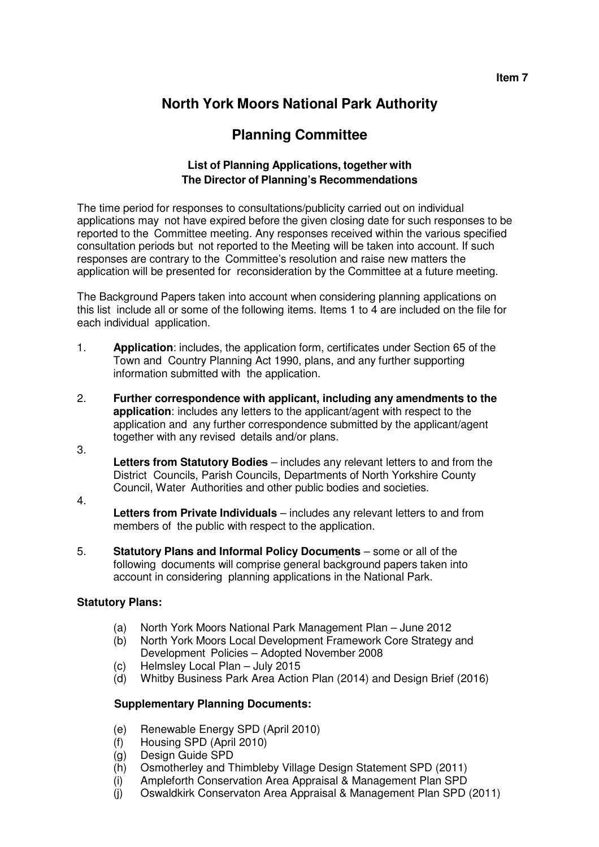**Item 7** 

# **North York Moors National Park Authority**

# **Planning Committee**

#### **List of Planning Applications, together with The Director of Planning's Recommendations**

The time period for responses to consultations/publicity carried out on individual applications may not have expired before the given closing date for such responses to be reported to the Committee meeting. Any responses received within the various specified consultation periods but not reported to the Meeting will be taken into account. If such responses are contrary to the Committee's resolution and raise new matters the application will be presented for reconsideration by the Committee at a future meeting.

The Background Papers taken into account when considering planning applications on this list include all or some of the following items. Items 1 to 4 are included on the file for each individual application.

- 1. **Application**: includes, the application form, certificates under Section 65 of the Town and Country Planning Act 1990, plans, and any further supporting information submitted with the application.
- 2. **Further correspondence with applicant, including any amendments to the application**: includes any letters to the applicant/agent with respect to the application and any further correspondence submitted by the applicant/agent together with any revised details and/or plans.
	- **Letters from Statutory Bodies**  includes any relevant letters to and from the District Councils, Parish Councils, Departments of North Yorkshire County Council, Water Authorities and other public bodies and societies.
- 4.

3.

- **Letters from Private Individuals**  includes any relevant letters to and from members of the public with respect to the application.
- 5. **Statutory Plans and Informal Policy Documents**  some or all of the following documents will comprise general background papers taken into account in considering planning applications in the National Park.

### **Statutory Plans:**

- (a) North York Moors National Park Management Plan June 2012
- (b) North York Moors Local Development Framework Core Strategy and Development Policies – Adopted November 2008
- (c) Helmsley Local Plan July 2015
- (d) Whitby Business Park Area Action Plan (2014) and Design Brief (2016)

### **Supplementary Planning Documents:**

- (e) Renewable Energy SPD (April 2010)
- (f) Housing SPD (April 2010)
- (g) Design Guide SPD
- (h) Osmotherley and Thimbleby Village Design Statement SPD (2011)
- (i) Ampleforth Conservation Area Appraisal & Management Plan SPD
- (j) Oswaldkirk Conservaton Area Appraisal & Management Plan SPD (2011)